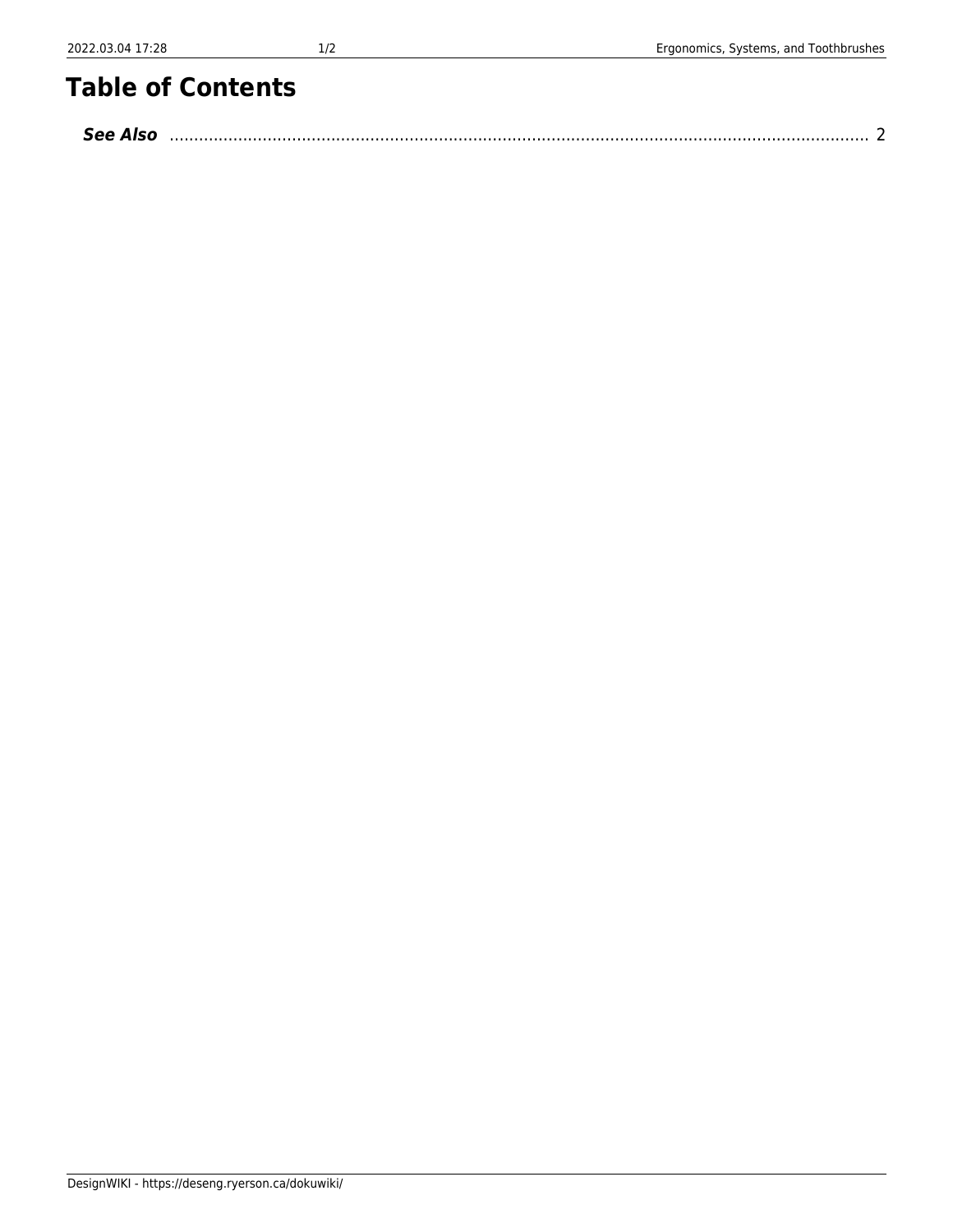## **Table of Contents**

| <b>See Also</b> |  |
|-----------------|--|
|-----------------|--|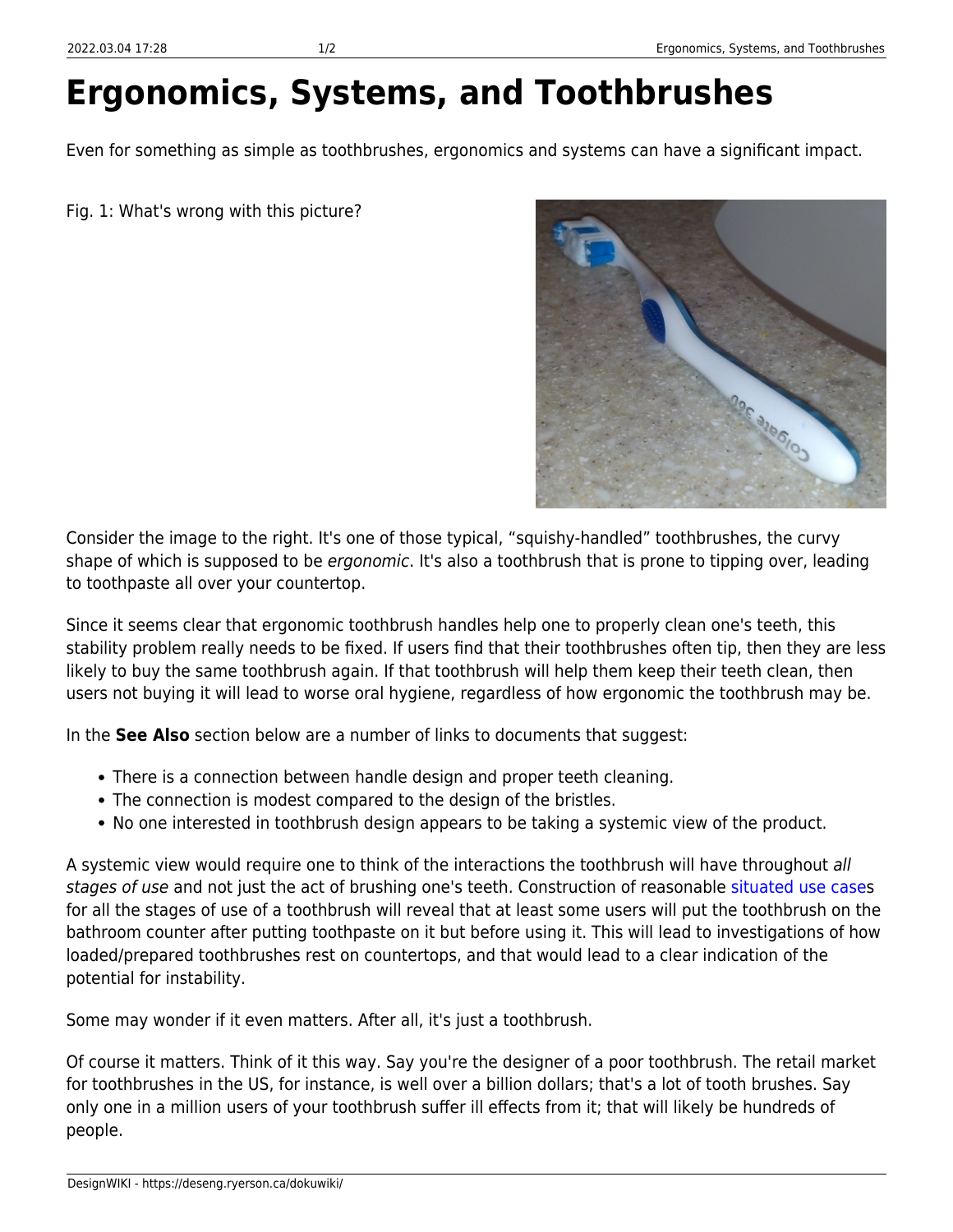## **Ergonomics, Systems, and Toothbrushes**

Even for something as simple as toothbrushes, ergonomics and systems can have a significant impact.

Fig. 1: What's wrong with this picture?



Consider the image to the right. It's one of those typical, "squishy-handled" toothbrushes, the curvy shape of which is supposed to be ergonomic. It's also a toothbrush that is prone to tipping over, leading to toothpaste all over your countertop.

Since it seems clear that ergonomic toothbrush handles help one to properly clean one's teeth, this stability problem really needs to be fixed. If users find that their toothbrushes often tip, then they are less likely to buy the same toothbrush again. If that toothbrush will help them keep their teeth clean, then users not buying it will lead to worse oral hygiene, regardless of how ergonomic the toothbrush may be.

In the **See Also** section below are a number of links to documents that suggest:

- There is a connection between handle design and proper teeth cleaning.
- The connection is modest compared to the design of the bristles.
- No one interested in toothbrush design appears to be taking a systemic view of the product.

A systemic view would require one to think of the interactions the toothbrush will have throughout all stages of use and not just the act of brushing one's teeth. Construction of reasonable [situated use cases](https://deseng.ryerson.ca/dokuwiki/design:situated_use_case) for all the stages of use of a toothbrush will reveal that at least some users will put the toothbrush on the bathroom counter after putting toothpaste on it but before using it. This will lead to investigations of how loaded/prepared toothbrushes rest on countertops, and that would lead to a clear indication of the potential for instability.

Some may wonder if it even matters. After all, it's just a toothbrush.

Of course it matters. Think of it this way. Say you're the designer of a poor toothbrush. The retail market for toothbrushes in the US, for instance, is well over a billion dollars; that's a lot of tooth brushes. Say only one in a million users of your toothbrush suffer ill effects from it; that will likely be hundreds of people.